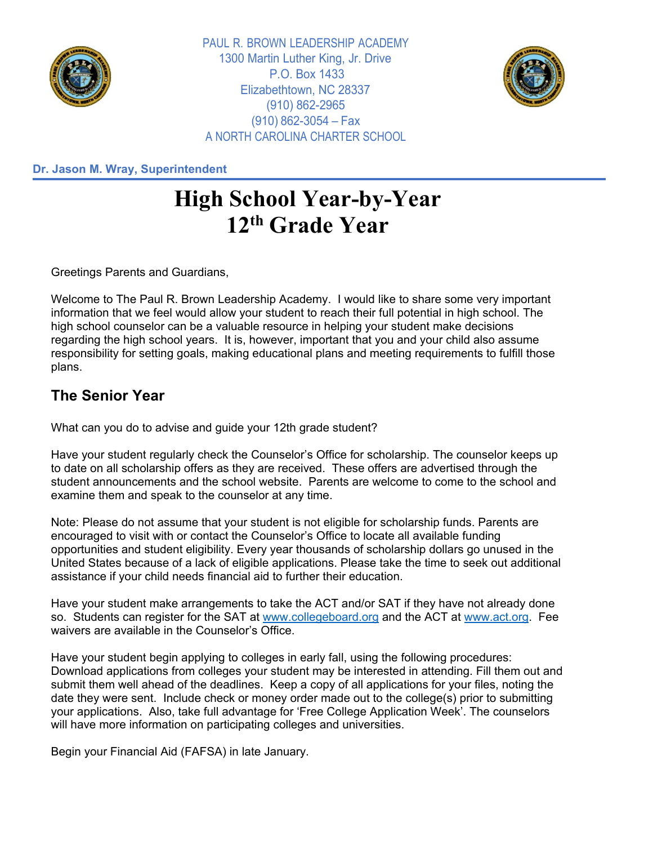

PAUL R. BROWN LEADERSHIP ACADEMY 1300 Martin Luther King, Jr. Drive P.O. Box 1433 Elizabethtown, NC 28337 (910) 862-2965 (910) 862-3054 – Fax A NORTH CAROLINA CHARTER SCHOOL



**Dr. Jason M. Wray, Superintendent**

## **High School Year-by-Year 12th Grade Year**

Greetings Parents and Guardians,

Welcome to The Paul R. Brown Leadership Academy. I would like to share some very important information that we feel would allow your student to reach their full potential in high school. The high school counselor can be a valuable resource in helping your student make decisions regarding the high school years. It is, however, important that you and your child also assume responsibility for setting goals, making educational plans and meeting requirements to fulfill those plans.

## **The Senior Year**

What can you do to advise and guide your 12th grade student?

Have your student regularly check the Counselor's Office for scholarship. The counselor keeps up to date on all scholarship offers as they are received. These offers are advertised through the student announcements and the school website. Parents are welcome to come to the school and examine them and speak to the counselor at any time.

Note: Please do not assume that your student is not eligible for scholarship funds. Parents are encouraged to visit with or contact the Counselor's Office to locate all available funding opportunities and student eligibility. Every year thousands of scholarship dollars go unused in the United States because of a lack of eligible applications. Please take the time to seek out additional assistance if your child needs financial aid to further their education.

Have your student make arrangements to take the ACT and/or SAT if they have not already done so. Students can register for the SAT at [www.collegeboard.org](http://www.collegeboard.org/) and the ACT at [www.act.org.](http://www.act.org/) Fee waivers are available in the Counselor's Office.

Have your student begin applying to colleges in early fall, using the following procedures: Download applications from colleges your student may be interested in attending. Fill them out and submit them well ahead of the deadlines. Keep a copy of all applications for your files, noting the date they were sent. Include check or money order made out to the college(s) prior to submitting your applications. Also, take full advantage for 'Free College Application Week'. The counselors will have more information on participating colleges and universities.

Begin your Financial Aid (FAFSA) in late January.